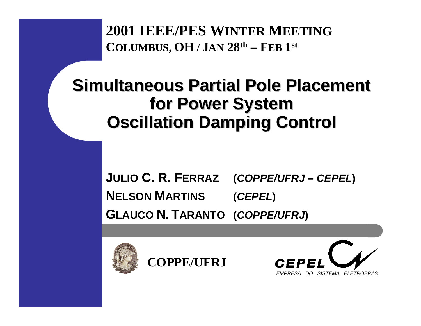**2001 IEEE/PES WINTER MEETING COLUMBUS, OH / JAN 28th – FEB 1 st**

## **Simultaneous Partial Pole Placement for Power System Oscillation Damping Control**

**JULIO C. R. FERRAZ (***COPPE/UFRJ – CEPEL***) NELSON MARTINS (***CEPEL***) GLAUCO N. TARANTO (***COPPE/UFRJ***)**

**COPPE/UFRJ**



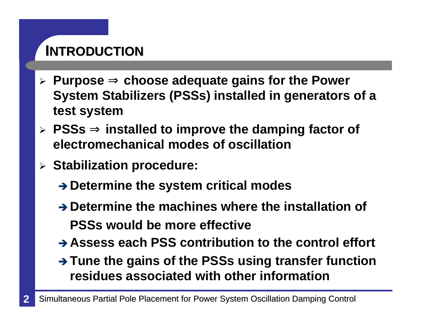### **INTRODUCTION**

- ÿ **Purpose Þ choose adequate gains for the Power System Stabilizers (PSSs) installed in generators of a test system**
- ÿ **PSSs Þ installed to improve the damping factor of electromechanical modes of oscillation**
- ÿ **Stabilization procedure:**
	- **→ Determine the system critical modes**
	- **→ Determine the machines where the installation of PSSs would be more effective**
	- **→ Assess each PSS contribution to the control effort**
	- **→ Tune the gains of the PSSs using transfer function residues associated with other information**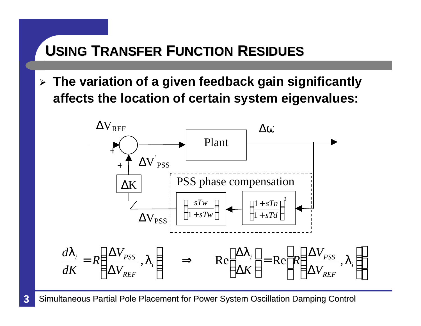### **USING TRANSFER FUNCTION RESIDUES**

ÿ **The variation of a given feedback gain significantly affects the location of certain system eigenvalues:**

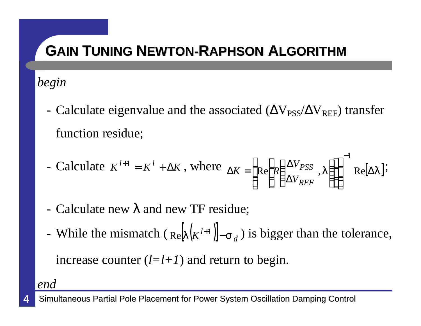## **GAIN TUNING NEWTON-RAPHSON ALGORITHM**

*begin*

- Calculate eigenvalue and the associated ( $\Delta V_{PSS}/\Delta V_{REF}$ ) transfer function residue;

- Calculate 
$$
K^{l+1} = K^l + \Delta K
$$
, where  $\Delta K = \left[ \text{Re} \left[ R \left( \frac{\Delta V_{PSS}}{\Delta V_{REF}} , I \right) \right] \right]^{-1} \text{Re}[\Delta I]$ ;

- Calculate new  $\lambda$  and new TF residue;
- While the mismatch ( $\text{Re}[I(k^{l+1})]$ – $s_d$ ) is bigger than the tolerance,

increase counter  $(l=l+1)$  and return to begin.

#### *end*

**<sup>4</sup>** Simultaneous Partial Pole Placement for Power System Oscillation Damping Control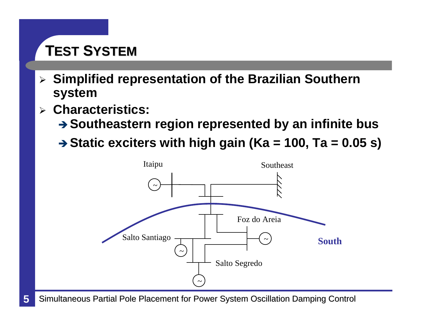## **TEST SYSTEM**

- **Simplified representation of the Brazilian Southern**  $\blacktriangleright$ system
- $\triangleright$  Characteristics:
	- → Southeastern region represented by an infinite bus
	- $\rightarrow$  Static exciters with high gain (Ka = 100, Ta = 0.05 s)

![](_page_4_Figure_5.jpeg)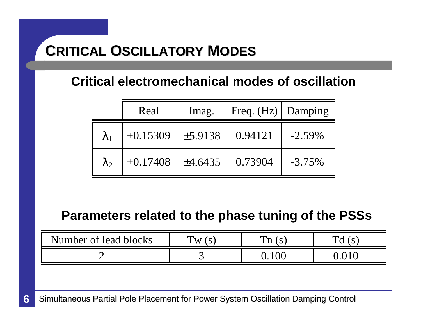### **CRITICAL OSCILLATORY MODES**

#### **Critical electromechanical modes of oscillation**

|             | Real       | Imag.        | Freq. (Hz)   Damping |           |
|-------------|------------|--------------|----------------------|-----------|
| $\lambda_1$ | $+0.15309$ | $\pm$ 5.9138 | 0.94121              | $-2.59\%$ |
| $\lambda_2$ | $+0.17408$ | $\pm 4.6435$ | 0.73904              | $-3.75\%$ |

#### **Parameters related to the phase tuning of the PSSs**

| Number of lead blocks | W<br>് |  |
|-----------------------|--------|--|
|                       | ب      |  |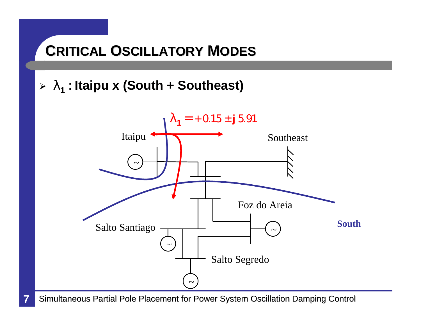### **CRITICAL OSCILLATORY MODES**

 $\triangleright$  1<sub>1</sub>: Itaipu x (South + Southeast)

7

![](_page_6_Figure_2.jpeg)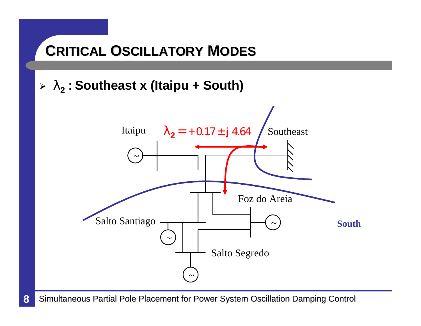### **CRITICAL OSCILLATORY MODES**

![](_page_7_Figure_1.jpeg)

![](_page_7_Figure_2.jpeg)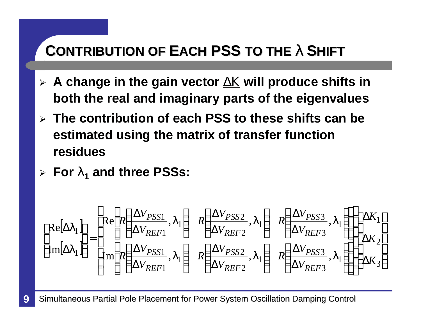## **CONTRIBUTION OF EACH PSS TO THE l SHIFT**

- ÿ **A change in the gain vector** *DK* **will produce shifts in both the real and imaginary parts of the eigenvalues**
- ÿ **The contribution of each PSS to these shifts can be estimated using the matrix of transfer function residues**
- <sup>ÿ</sup> **For l<sup>1</sup> and three PSSs:**

$$
\begin{bmatrix} \text{Re}[\Delta I_1] \\ \text{Im}[\Delta I_1] \end{bmatrix} = \begin{bmatrix} \text{Re} \begin{bmatrix} R & \Delta V_{PSS1} \\ \Delta V_{REF1} \end{bmatrix}, I_1 \end{bmatrix} R \begin{bmatrix} \frac{\Delta V_{PSS2}}{\Delta V_{REF2}}, I_1 \end{bmatrix} R \begin{bmatrix} \frac{\Delta V_{PSS3}}{\Delta V_{REF3}}, I_1 \end{bmatrix} \begin{bmatrix} \Delta K_1 \\ \Delta K_2 \end{bmatrix}
$$

$$
\text{Im}[\Delta I_1] = \begin{bmatrix} \text{Im} \begin{bmatrix} \frac{\Delta V_{PSS1}}{\Delta V_{REF1}}, I_1 \end{bmatrix} R \begin{bmatrix} \frac{\Delta V_{PSS2}}{\Delta V_{REF2}}, I_1 \end{bmatrix} R \begin{bmatrix} \frac{\Delta V_{PSS3}}{\Delta V_{REF3}}, I_1 \end{bmatrix} \end{bmatrix} \begin{bmatrix} \Delta K_1 \\ \Delta K_2 \\ \Delta K_3 \end{bmatrix}
$$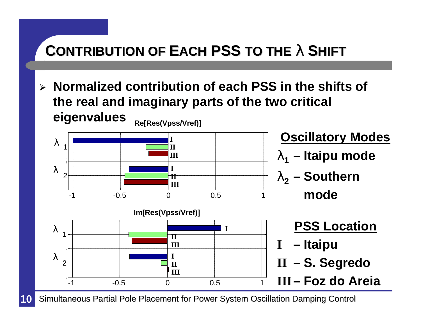## **CONTRIBUTION OF EACH PSS TO THE 1 SHIFT**

 $\triangleright$  Normalized contribution of each PSS in the shifts of the real and imaginary parts of the two critical eigenvalues Re[Res(Vpss/Vref)]

 $\mathbf I$ 

 $0.5$ 

![](_page_9_Figure_2.jpeg)

### **Oscillatory Modes**

- $\mathbf{l}_1$  Itaipu mode
- $\mathbf{l}_2$  Southern mode

![](_page_9_Figure_6.jpeg)

п

**III** 

Ħ III

 $\Omega$ 

 $\mathbf{l}$ 

 $\mathbf{I}$ 

 $\mathcal P$ 

 $-0.5$ 

#### **PSS Location**

- Itaipu  $\mathbf{I}$
- $II S.$  Segredo
- III-Foz do Areia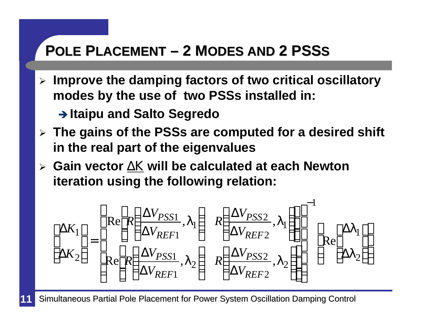### **POLE PLACEMENT – 2 MODES AND 2 PSSS**

- ÿ **Improve the damping factors of two critical oscillatory modes by the use of two PSSs installed in:**
	- **→ Itaipu and Salto Segredo**
- ÿ **The gains of the PSSs are computed for a desired shift in the real part of the eigenvalues**
- ÿ **Gain vector** *DK* **will be calculated at each Newton iteration using the following relation:**

$$
\begin{bmatrix} \Delta K_1 \\ \Delta K_2 \end{bmatrix} = \begin{bmatrix} Re \begin{bmatrix} R \begin{bmatrix} \Delta V_{PSS1} \\ \Delta V_{REF1} \end{bmatrix} & R \begin{bmatrix} \Delta V_{PSS2} \\ \Delta V_{REF2} \end{bmatrix} & I_1 \end{bmatrix} \begin{bmatrix} 1 \\ Re \begin{bmatrix} \Delta I_1 \\ \Delta I_2 \end{bmatrix} \end{bmatrix}
$$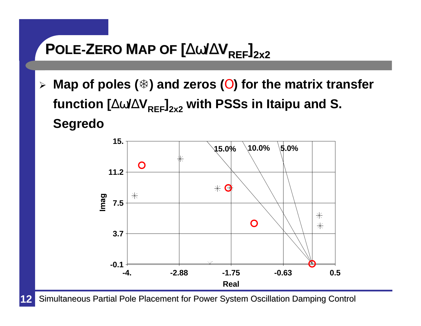## **POLE-ZERO MAP OF [Dw/DVREF]2x2**

**Map of poles (\*) and zeros (0) for the matrix transfer function [Dw/DVREF] 2x2 with PSSs in Itaipu and S. Segredo**

![](_page_11_Figure_2.jpeg)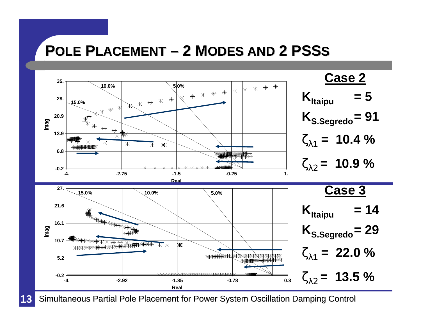### **POLE PLACEMENT – 2 MODES AND 2 PSSS**

![](_page_12_Figure_1.jpeg)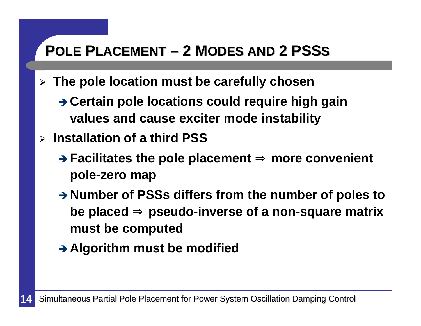### **POLE PLACEMENT - 2 MODES AND 2 PSSS**

- $\triangleright$  The pole location must be carefully chosen
	- $\rightarrow$  Certain pole locations could require high gain values and cause exciter mode instability
- $\triangleright$  Installation of a third PSS
	- $\rightarrow$  Facilitates the pole placement **D** more convenient pole-zero map
	- A Number of PSSs differs from the number of poles to be placed **D** pseudo-inverse of a non-square matrix must be computed
	- $\rightarrow$  Algorithm must be modified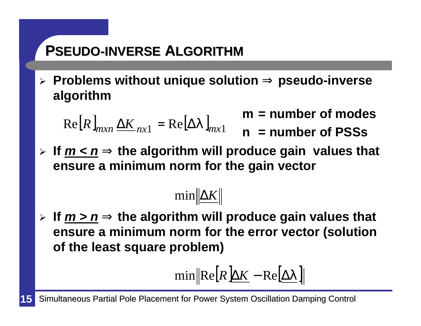### **PSEUDO-INVERSE ALGORITHM**

ÿ **Problems without unique solution Þ pseudo-inverse algorithm**

$$
Re[R]_{mxn} \Delta K_{nx1} = Re[\Delta I]_{mx1}
$$
 m = number of modes  
n = number of PSSs

ÿ **If** *m < n* **Þ the algorithm will produce gain values that ensure a minimum norm for the gain vector**

# $\min\left\Vert \Delta K\right\Vert$

 $\triangleright$  If  $m > n$  **Þ** the algorithm will produce gain values that **ensure a minimum norm for the error vector (solution of the least square problem)**

$$
\text{min} \|\text{Re}[R\underline{\Delta K} - \text{Re}[\underline{\Delta I}]\|
$$

**<sup>15</sup>** Simultaneous Partial Pole Placement for Power System Oscillation Damping Control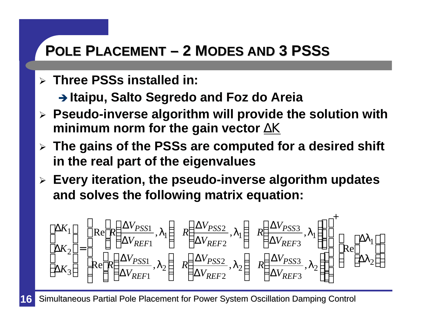### **POLE PLACEMENT – 2 MODES AND 3 PSSS**

- ÿ **Three PSSs installed in:**
	- **→ Itaipu, Salto Segredo and Foz do Areia**
- ÿ **Pseudo-inverse algorithm will provide the solution with minimum norm for the gain vector** *DK*
- ÿ **The gains of the PSSs are computed for a desired shift in the real part of the eigenvalues**
- ÿ **Every iteration, the pseudo-inverse algorithm updates and solves the following matrix equation:**

$$
\begin{bmatrix}\n\Delta K_1 \\
\Delta K_2 \\
\Delta K_3\n\end{bmatrix} = \begin{bmatrix}\n\text{Re}\left[R\left(\frac{\Delta V_{PSS1}}{\Delta V_{REF1}}, I_1\right) & R\left(\frac{\Delta V_{PSS2}}{\Delta V_{REF2}}, I_1\right) & R\left(\frac{\Delta V_{PSS3}}{\Delta V_{REF3}}, I_1\right)\right] \\
\text{Re}\left[R\left(\frac{\Delta V_{PSS1}}{\Delta V_{REF1}}, I_2\right) & R\left(\frac{\Delta V_{PSS2}}{\Delta V_{REF2}}, I_2\right) & R\left(\frac{\Delta V_{PSS3}}{\Delta V_{REF3}}, I_2\right)\right]\n\end{bmatrix}^{\dagger} \begin{bmatrix}\n\Delta I_1 \\
\Delta I_2\n\end{bmatrix}
$$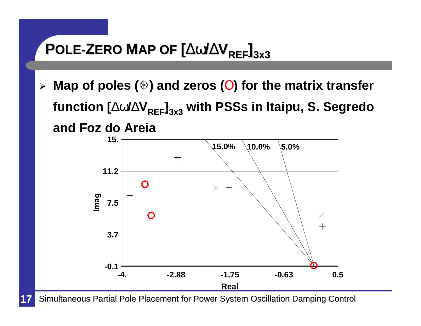## **POLE-ZERO MAP OF [Dw/DVREF]3x3**

ÿ **Map of poles (**T**) and zeros (O) for the matrix transfer function [Dw/DVREF] 3x3 with PSSs in Itaipu, S. Segredo and Foz do Areia**

![](_page_16_Figure_2.jpeg)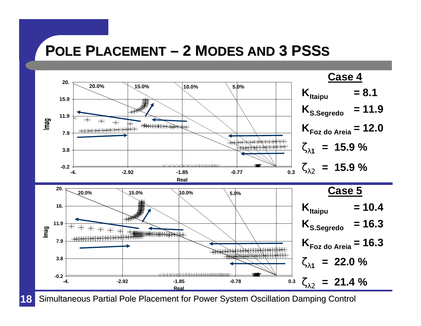### **POLE PLACEMENT – 2 MODES AND 3 PSSS**

![](_page_17_Figure_1.jpeg)